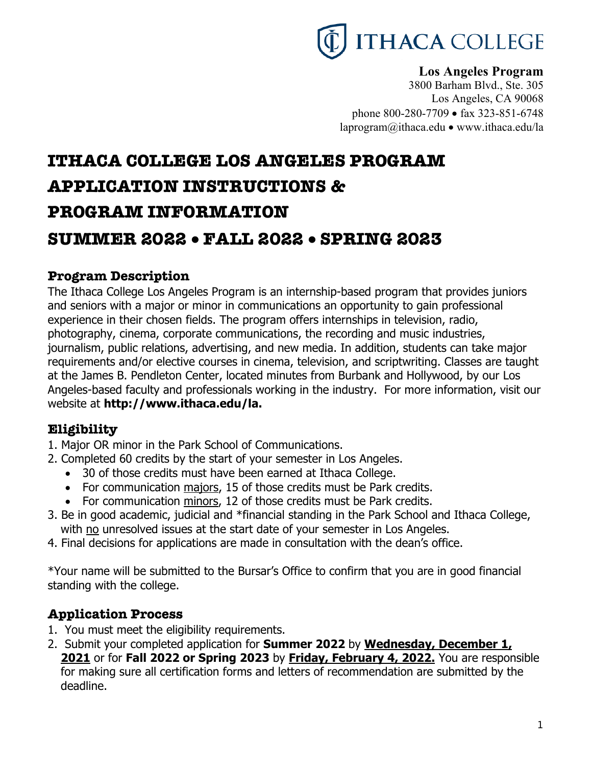

# **Los Angeles Program**

3800 Barham Blvd., Ste. 305 Los Angeles, CA 90068 phone 800-280-7709 • fax 323-851-6748 laprogram@ithaca.edu • www.ithaca.edu/la

# **ITHACA COLLEGE LOS ANGELES PROGRAM APPLICATION INSTRUCTIONS & PROGRAM INFORMATION SUMMER 2022** • **FALL 2022** • **SPRING 2023**

# **Program Description**

The Ithaca College Los Angeles Program is an internship-based program that provides juniors and seniors with a major or minor in communications an opportunity to gain professional experience in their chosen fields. The program offers internships in television, radio, photography, cinema, corporate communications, the recording and music industries, journalism, public relations, advertising, and new media. In addition, students can take major requirements and/or elective courses in cinema, television, and scriptwriting. Classes are taught at the James B. Pendleton Center, located minutes from Burbank and Hollywood, by our Los Angeles-based faculty and professionals working in the industry. For more information, visit our website at **http://www.ithaca.edu/la.** 

# **Eligibility**

- 1. Major OR minor in the Park School of Communications.
- 2. Completed 60 credits by the start of your semester in Los Angeles.
	- 30 of those credits must have been earned at Ithaca College.
	- For communication majors, 15 of those credits must be Park credits.
	- For communication minors, 12 of those credits must be Park credits.
- 3. Be in good academic, judicial and \*financial standing in the Park School and Ithaca College, with no unresolved issues at the start date of your semester in Los Angeles.
- 4. Final decisions for applications are made in consultation with the dean's office.

\*Your name will be submitted to the Bursar's Office to confirm that you are in good financial standing with the college.

# **Application Process**

- 1. You must meet the eligibility requirements.
- 2. Submit your completed application for **Summer 2022** by **Wednesday, December 1, 2021** or for **Fall 2022 or Spring 2023** by **Friday, February 4, 2022.** You are responsible for making sure all certification forms and letters of recommendation are submitted by the deadline.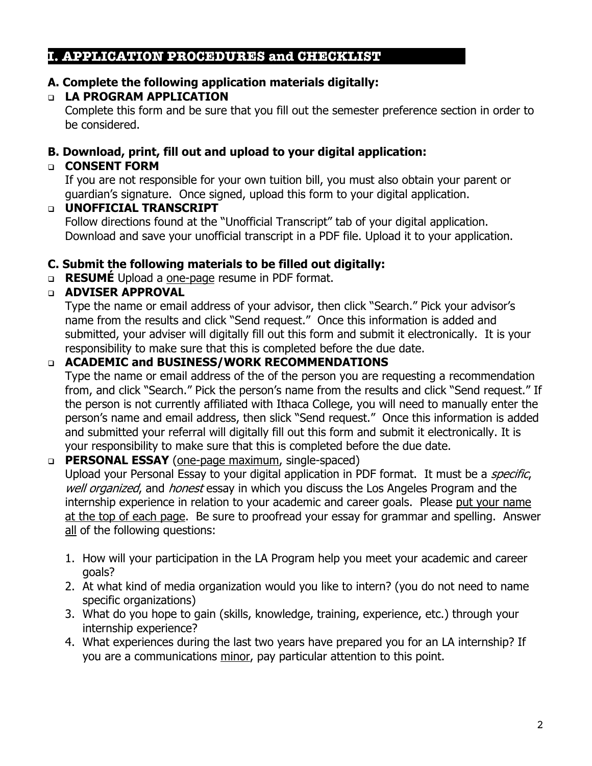## **I. APPLICATION PROCEDURES and CHECKLIST**

# **A. Complete the following application materials digitally:**

# <sup>q</sup> **LA PROGRAM APPLICATION**

Complete this form and be sure that you fill out the semester preference section in order to be considered.

# **B. Download, print, fill out and upload to your digital application:**

# <sup>q</sup> **CONSENT FORM**

If you are not responsible for your own tuition bill, you must also obtain your parent or guardian's signature. Once signed, upload this form to your digital application.

## <sup>q</sup> **UNOFFICIAL TRANSCRIPT**

Follow directions found at the "Unofficial Transcript" tab of your digital application. Download and save your unofficial transcript in a PDF file. Upload it to your application.

## **C. Submit the following materials to be filled out digitally:**

<sup>q</sup> **RESUMÉ** Upload a one-page resume in PDF format.

# <sup>q</sup> **ADVISER APPROVAL**

Type the name or email address of your advisor, then click "Search." Pick your advisor's name from the results and click "Send request." Once this information is added and submitted, your adviser will digitally fill out this form and submit it electronically. It is your responsibility to make sure that this is completed before the due date.

## <sup>q</sup> **ACADEMIC and BUSINESS/WORK RECOMMENDATIONS**

Type the name or email address of the of the person you are requesting a recommendation from, and click "Search." Pick the person's name from the results and click "Send request." If the person is not currently affiliated with Ithaca College, you will need to manually enter the person's name and email address, then slick "Send request." Once this information is added and submitted your referral will digitally fill out this form and submit it electronically. It is your responsibility to make sure that this is completed before the due date.

## <sup>q</sup> **PERSONAL ESSAY** (one-page maximum, single-spaced)

Upload your Personal Essay to your digital application in PDF format. It must be a *specific*, well organized, and honest essay in which you discuss the Los Angeles Program and the internship experience in relation to your academic and career goals. Please put your name at the top of each page. Be sure to proofread your essay for grammar and spelling. Answer all of the following questions:

- 1. How will your participation in the LA Program help you meet your academic and career goals?
- 2. At what kind of media organization would you like to intern? (you do not need to name specific organizations)
- 3. What do you hope to gain (skills, knowledge, training, experience, etc.) through your internship experience?
- 4. What experiences during the last two years have prepared you for an LA internship? If you are a communications minor, pay particular attention to this point.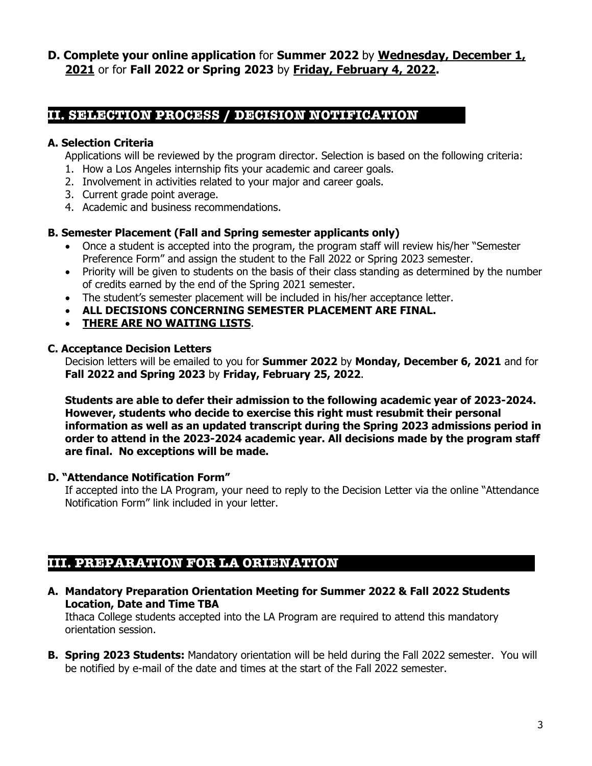**D. Complete your online application** for **Summer 2022** by **Wednesday, December 1, 2021** or for **Fall 2022 or Spring 2023** by **Friday, February 4, 2022.**

# **II. SELECTION PROCESS / DECISION NOTIFICATION**

## **A. Selection Criteria**

Applications will be reviewed by the program director. Selection is based on the following criteria:

- 1. How a Los Angeles internship fits your academic and career goals.
- 2. Involvement in activities related to your major and career goals.
- 3. Current grade point average.
- 4. Academic and business recommendations.

#### **B. Semester Placement (Fall and Spring semester applicants only)**

- Once a student is accepted into the program, the program staff will review his/her "Semester Preference Form" and assign the student to the Fall 2022 or Spring 2023 semester.
- Priority will be given to students on the basis of their class standing as determined by the number of credits earned by the end of the Spring 2021 semester.
- The student's semester placement will be included in his/her acceptance letter.
- **ALL DECISIONS CONCERNING SEMESTER PLACEMENT ARE FINAL.**
- **THERE ARE NO WAITING LISTS**.

#### **C. Acceptance Decision Letters**

Decision letters will be emailed to you for **Summer 2022** by **Monday, December 6, 2021** and for **Fall 2022 and Spring 2023** by **Friday, February 25, 2022**.

**Students are able to defer their admission to the following academic year of 2023-2024. However, students who decide to exercise this right must resubmit their personal information as well as an updated transcript during the Spring 2023 admissions period in order to attend in the 2023-2024 academic year. All decisions made by the program staff are final. No exceptions will be made.**

## **D. "Attendance Notification Form"**

If accepted into the LA Program, your need to reply to the Decision Letter via the online "Attendance Notification Form" link included in your letter.

# **III. PREPARATION FOR LA ORIENATION**

**A. Mandatory Preparation Orientation Meeting for Summer 2022 & Fall 2022 Students Location, Date and Time TBA**

Ithaca College students accepted into the LA Program are required to attend this mandatory orientation session.

**B. Spring 2023 Students:** Mandatory orientation will be held during the Fall 2022 semester. You will be notified by e-mail of the date and times at the start of the Fall 2022 semester.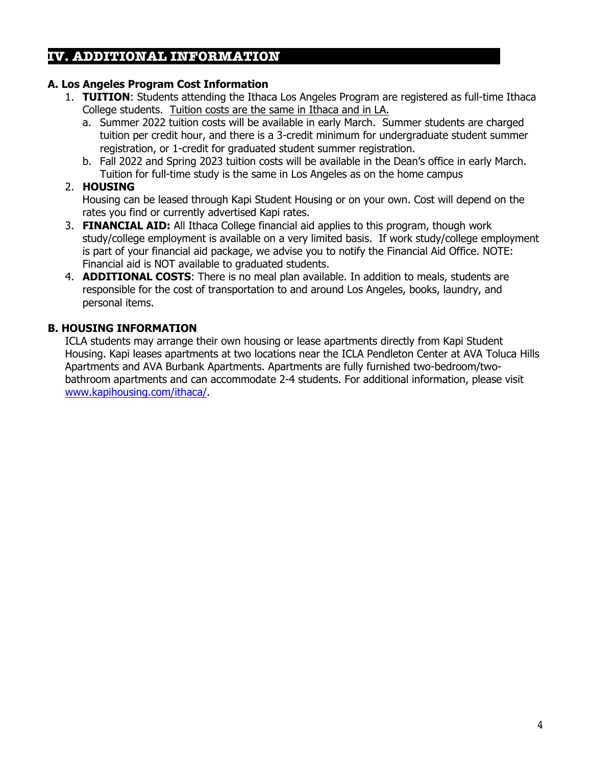## **IV. ADDITIONAL INFORMATION**

#### **A. Los Angeles Program Cost Information**

- 1. **TUITION**: Students attending the Ithaca Los Angeles Program are registered as full-time Ithaca College students. Tuition costs are the same in Ithaca and in LA.
	- a. Summer 2022 tuition costs will be available in early March. Summer students are charged tuition per credit hour, and there is a 3-credit minimum for undergraduate student summer registration, or 1-credit for graduated student summer registration.
	- b. Fall 2022 and Spring 2023 tuition costs will be available in the Dean's office in early March. Tuition for full-time study is the same in Los Angeles as on the home campus

#### 2. **HOUSING**

Housing can be leased through Kapi Student Housing or on your own. Cost will depend on the rates you find or currently advertised Kapi rates.

- 3. **FINANCIAL AID:** All Ithaca College financial aid applies to this program, though work study/college employment is available on a very limited basis. If work study/college employment is part of your financial aid package, we advise you to notify the Financial Aid Office. NOTE: Financial aid is NOT available to graduated students.
- 4. **ADDITIONAL COSTS**: There is no meal plan available. In addition to meals, students are responsible for the cost of transportation to and around Los Angeles, books, laundry, and personal items.

## **B. HOUSING INFORMATION**

ICLA students may arrange their own housing or lease apartments directly from Kapi Student Housing. Kapi leases apartments at two locations near the ICLA Pendleton Center at AVA Toluca Hills Apartments and AVA Burbank Apartments. Apartments are fully furnished two-bedroom/twobathroom apartments and can accommodate 2-4 students. For additional information, please visit www.kapihousing.com/ithaca/.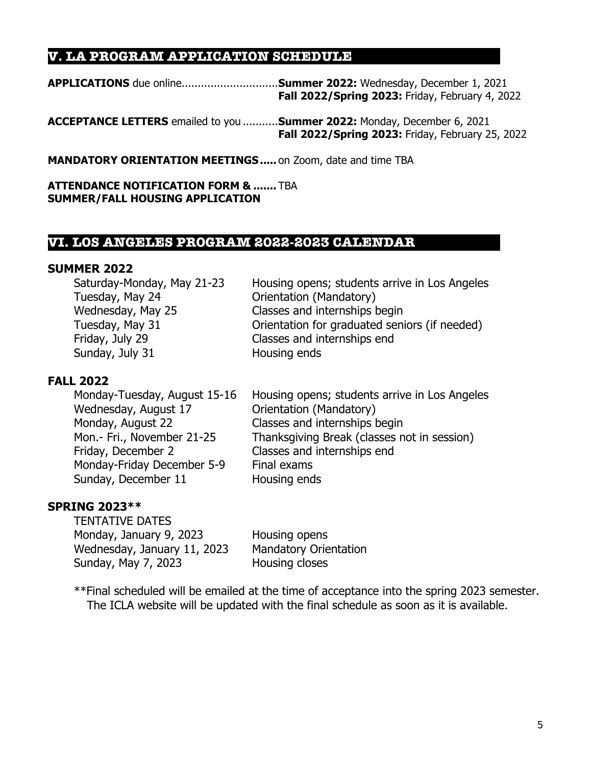# **V. LA PROGRAM APPLICATION SCHEDULE**

**APPLICATIONS** due online..............................**Summer 2022:** Wednesday, December 1, 2021 **Fall 2022/Spring 2023:** Friday, February 4, 2022

**ACCEPTANCE LETTERS** emailed to you ...........**Summer 2022:** Monday, December 6, 2021 **Fall 2022/Spring 2023:** Friday, February 25, 2022

**MANDATORY ORIENTATION MEETINGS.....** on Zoom, date and time TBA

**ATTENDANCE NOTIFICATION FORM & .......** TBA **SUMMER/FALL HOUSING APPLICATION**

## **VI. LOS ANGELES PROGRAM 2022-2023 CALENDAR**

#### **SUMMER 2022**

| Housing opens; students arrive in Los Angeles |
|-----------------------------------------------|
| Orientation (Mandatory)                       |
| Classes and internships begin                 |
| Orientation for graduated seniors (if needed) |
| Classes and internships end                   |
| Housing ends                                  |
|                                               |

## **FALL 2022**

| Monday-Tuesday, August 15-16 | Housing opens; students arrive in Los Angeles |
|------------------------------|-----------------------------------------------|
| Wednesday, August 17         | Orientation (Mandatory)                       |
| Monday, August 22            | Classes and internships begin                 |
| Mon.- Fri., November 21-25   | Thanksgiving Break (classes not in session)   |
| Friday, December 2           | Classes and internships end                   |
| Monday-Friday December 5-9   | Final exams                                   |
| Sunday, December 11          | Housing ends                                  |

## **SPRING 2023\*\***

TENTATIVE DATES Monday, January 9, 2023 Housing opens Wednesday, January 11, 2023 Mandatory Orientation Sunday, May 7, 2023 Housing closes

\*\*Final scheduled will be emailed at the time of acceptance into the spring 2023 semester. The ICLA website will be updated with the final schedule as soon as it is available.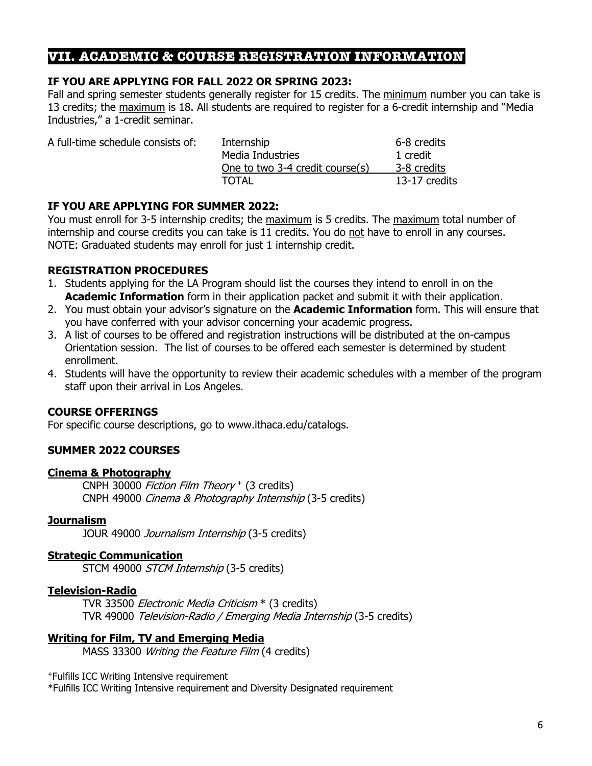## **VII. ACADEMIC & COURSE REGISTRATION INFORMATION**

#### **IF YOU ARE APPLYING FOR FALL 2022 OR SPRING 2023:**

Fall and spring semester students generally register for 15 credits. The minimum number you can take is 13 credits; the maximum is 18. All students are required to register for a 6-credit internship and "Media Industries," a 1-credit seminar.

| Internship                      | 6-8 credits   |
|---------------------------------|---------------|
| Media Industries                | 1 credit      |
| One to two 3-4 credit course(s) | 3-8 credits   |
| <b>TOTAL</b>                    | 13-17 credits |
|                                 |               |

#### **IF YOU ARE APPLYING FOR SUMMER 2022:**

You must enroll for 3-5 internship credits; the maximum is 5 credits. The maximum total number of internship and course credits you can take is 11 credits. You do not have to enroll in any courses. NOTE: Graduated students may enroll for just 1 internship credit.

#### **REGISTRATION PROCEDURES**

- 1. Students applying for the LA Program should list the courses they intend to enroll in on the **Academic Information** form in their application packet and submit it with their application.
- 2. You must obtain your advisor's signature on the **Academic Information** form. This will ensure that you have conferred with your advisor concerning your academic progress.
- 3. A list of courses to be offered and registration instructions will be distributed at the on-campus Orientation session. The list of courses to be offered each semester is determined by student enrollment.
- 4. Students will have the opportunity to review their academic schedules with a member of the program staff upon their arrival in Los Angeles.

## **COURSE OFFERINGS**

For specific course descriptions, go to www.ithaca.edu/catalogs.

## **SUMMER 2022 COURSES**

#### **Cinema & Photography**

CNPH 30000 Fiction Film Theory <sup>+</sup> (3 credits) CNPH 49000 Cinema & Photography Internship (3-5 credits)

#### **Journalism**

JOUR 49000 Journalism Internship (3-5 credits)

#### **Strategic Communication**

STCM 49000 STCM Internship (3-5 credits)

#### **Television-Radio**

TVR 33500 Electronic Media Criticism \* (3 credits) TVR 49000 Television-Radio / Emerging Media Internship (3-5 credits)

## **Writing for Film, TV and Emerging Media**

MASS 33300 Writing the Feature Film (4 credits)

+Fulfills ICC Writing Intensive requirement

\*Fulfills ICC Writing Intensive requirement and Diversity Designated requirement